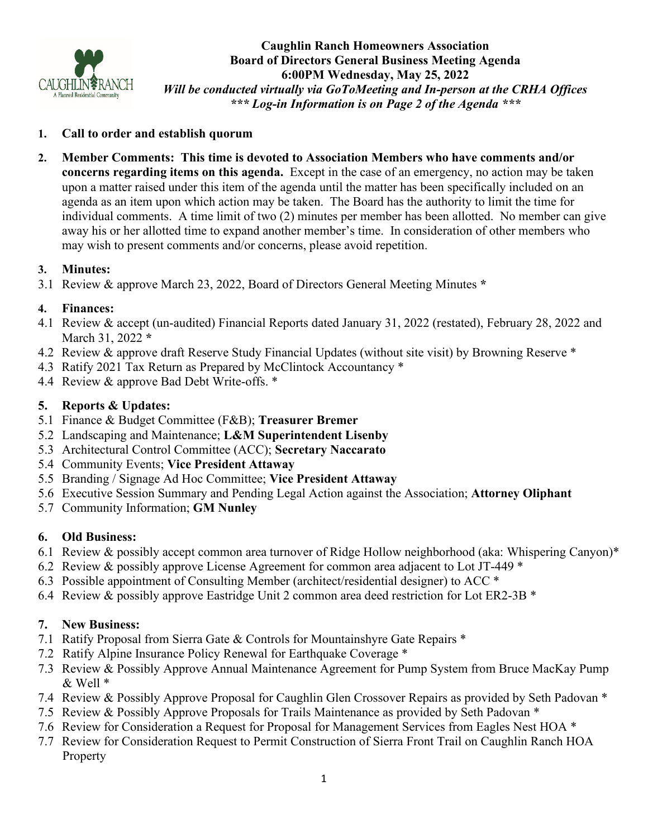

**Caughlin Ranch Homeowners Association Board of Directors General Business Meeting Agenda 6:00PM Wednesday, May 25, 2022** *Will be conducted virtually via GoToMeeting and In-person at the CRHA Offices \*\*\* Log-in Information is on Page 2 of the Agenda \*\*\**

### **1. Call to order and establish quorum**

**2. Member Comments: This time is devoted to Association Members who have comments and/or concerns regarding items on this agenda.** Except in the case of an emergency, no action may be taken upon a matter raised under this item of the agenda until the matter has been specifically included on an agenda as an item upon which action may be taken. The Board has the authority to limit the time for individual comments. A time limit of two (2) minutes per member has been allotted. No member can give away his or her allotted time to expand another member's time. In consideration of other members who may wish to present comments and/or concerns, please avoid repetition.

#### **3. Minutes:**

3.1 Review & approve March 23, 2022, Board of Directors General Meeting Minutes **\***

# **4. Finances:**

- 4.1 Review & accept (un-audited) Financial Reports dated January 31, 2022 (restated), February 28, 2022 and March 31, 2022 **\***
- 4.2 Review & approve draft Reserve Study Financial Updates (without site visit) by Browning Reserve \*
- 4.3 Ratify 2021 Tax Return as Prepared by McClintock Accountancy \*
- 4.4 Review & approve Bad Debt Write-offs. \*

# **5. Reports & Updates:**

- 5.1 Finance & Budget Committee (F&B); **Treasurer Bremer**
- 5.2 Landscaping and Maintenance; **L&M Superintendent Lisenby**
- 5.3 Architectural Control Committee (ACC); **Secretary Naccarato**
- 5.4 Community Events; **Vice President Attaway**
- 5.5 Branding / Signage Ad Hoc Committee; **Vice President Attaway**
- 5.6 Executive Session Summary and Pending Legal Action against the Association; **Attorney Oliphant**
- 5.7 Community Information; **GM Nunley**

# **6. Old Business:**

- 6.1 Review & possibly accept common area turnover of Ridge Hollow neighborhood (aka: Whispering Canyon)\*
- 6.2 Review & possibly approve License Agreement for common area adjacent to Lot JT-449 \*
- 6.3 Possible appointment of Consulting Member (architect/residential designer) to ACC \*
- 6.4 Review & possibly approve Eastridge Unit 2 common area deed restriction for Lot ER2-3B \*

# **7. New Business:**

- 7.1 Ratify Proposal from Sierra Gate & Controls for Mountainshyre Gate Repairs \*
- 7.2 Ratify Alpine Insurance Policy Renewal for Earthquake Coverage \*
- 7.3 Review & Possibly Approve Annual Maintenance Agreement for Pump System from Bruce MacKay Pump & Well \*
- 7.4 Review & Possibly Approve Proposal for Caughlin Glen Crossover Repairs as provided by Seth Padovan \*
- 7.5 Review & Possibly Approve Proposals for Trails Maintenance as provided by Seth Padovan \*
- 7.6 Review for Consideration a Request for Proposal for Management Services from Eagles Nest HOA \*
- 7.7 Review for Consideration Request to Permit Construction of Sierra Front Trail on Caughlin Ranch HOA Property